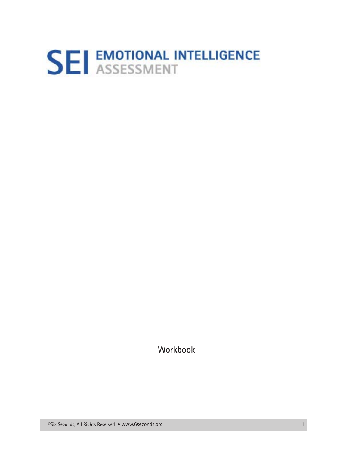# **SEI EMOTIONAL INTELLIGENCE**

Workbook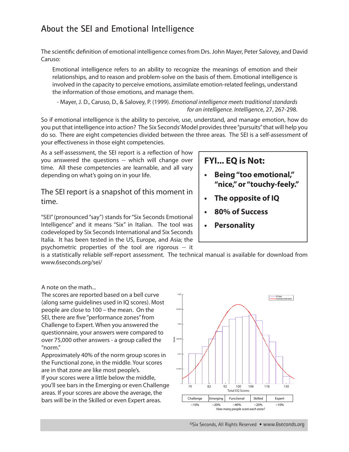# **About the SEI and Emotional Intelligence**

The scientifc defnition of emotional intelligence comes from Drs. John Mayer, Peter Salovey, and David Caruso:

Emotional intelligence refers to an ability to recognize the meanings of emotion and their relationships, and to reason and problem-solve on the basis of them. Emotional intelligence is involved in the capacity to perceive emotions, assimilate emotion-related feelings, understand the information of those emotions, and manage them.

- Mayer, J. D., Caruso, D., & Salovey, P. (1999). *Emotional intelligence meets traditional standards for an intelligence. Intelligenc*e, 27, 267-298.

So if emotional intelligence is the ability to perceive, use, understand, and manage emotion, how do you put that intelligence into action? The Six Seconds' Model provides three "pursuits" that will help you do so. There are eight competencies divided between the three areas. The SEI is a self-assessment of your efectiveness in those eight competencies.

As a self-assessment, the SEI report is a refection of how you answered the questions -- which will change over time. All these competencies are learnable, and all vary depending on what's going on in your life.

The SEI report is a snapshot of this moment in time.

"SEI" (pronounced "say") stands for "Six Seconds Emotional Intelligence" and it means "Six" in Italian. The tool was codeveloped by Six Seconds International and Six Seconds Italia. It has been tested in the US, Europe, and Asia; the psychometric properties of the tool are rigorous -- it

## **FYI... EQ is Not:**

- **Being "too emotional,"** "nice," or "touchy-feely."
- **the opposite of IQ**
- **80% of Success**
- **Personality**

is a statistically reliable self-report assessment. The technical manual is available for download from www.6seconds.org/sei/

A note on the math...

The scores are reported based on a bell curve (along same guidelines used in IQ scores). Most people are close to 100 – the mean. On the SEI, there are fve "performance zones" from Challenge to Expert. When you answered the questionnaire, your answers were compared to over 75,000 other answers - a group called the "norm."

Approximately 40% of the norm group scores in the Functional zone, in the middle. Your scores are in that zone are like most people's. If your scores were a little below the middle, you'll see bars in the Emerging or even Challenge areas. If your scores are above the average, the bars will be in the Skilled or even Expert areas.



©Six Seconds, All Rights Reserved • www.6seconds.org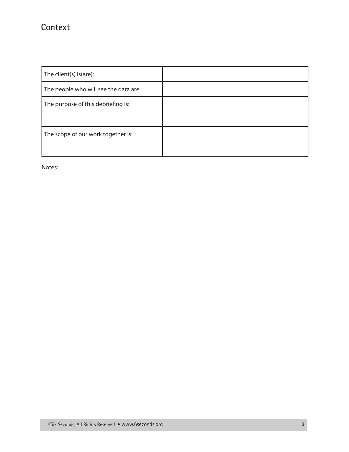## Context

| The client(s) is(are):                |  |
|---------------------------------------|--|
| The people who will see the data are: |  |
| The purpose of this debriefing is:    |  |
| The scope of our work together is:    |  |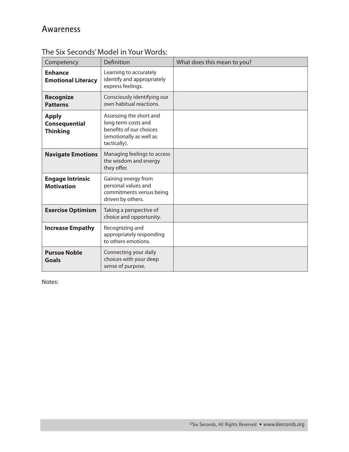| Competency                                              | Definition                                                                                                           | What does this mean to you? |
|---------------------------------------------------------|----------------------------------------------------------------------------------------------------------------------|-----------------------------|
| <b>Enhance</b><br><b>Emotional Literacy</b>             | Learning to accurately<br>identify and appropriately<br>express feelings.                                            |                             |
| <b>Recognize</b><br><b>Patterns</b>                     | Consciously identifying our<br>own habitual reactions.                                                               |                             |
| <b>Apply</b><br><b>Consequential</b><br><b>Thinking</b> | Assessing the short and<br>long term costs and<br>benefits of our choices<br>(emotionally as well as<br>tactically). |                             |
| <b>Navigate Emotions</b>                                | Managing feelings to access<br>the wisdom and energy<br>they offer.                                                  |                             |
| <b>Engage Intrinsic</b><br><b>Motivation</b>            | Gaining energy from<br>personal values and<br>commitments versus being<br>driven by others.                          |                             |
| <b>Exercise Optimism</b>                                | Taking a perspective of<br>choice and opportunity.                                                                   |                             |
| <b>Increase Empathy</b>                                 | Recognizing and<br>appropriately responding<br>to others emotions.                                                   |                             |
| <b>Pursue Noble</b><br><b>Goals</b>                     | Connecting your daily<br>choices with your deep<br>sense of purpose.                                                 |                             |

The Six Seconds' Model in Your Words: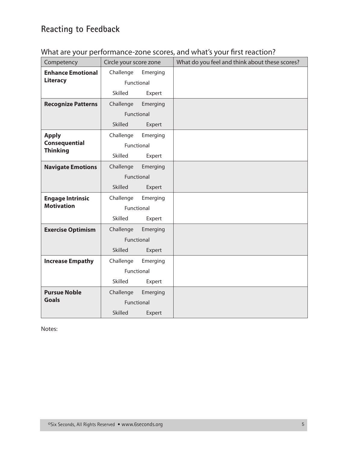# **Reacting to Feedback**

## What are your performance-zone scores, and what's your first reaction?

| Competency                | Circle your score zone |          | What do you feel and think about these scores? |
|---------------------------|------------------------|----------|------------------------------------------------|
| <b>Enhance Emotional</b>  | Challenge              | Emerging |                                                |
| <b>Literacy</b>           | Functional             |          |                                                |
|                           | Skilled                | Expert   |                                                |
| <b>Recognize Patterns</b> | Challenge              | Emerging |                                                |
|                           | Functional             |          |                                                |
|                           | <b>Skilled</b>         | Expert   |                                                |
| <b>Apply</b>              | Challenge              | Emerging |                                                |
| <b>Consequential</b>      | Functional             |          |                                                |
| <b>Thinking</b>           | Skilled                | Expert   |                                                |
| <b>Navigate Emotions</b>  | Challenge              | Emerging |                                                |
|                           | Functional             |          |                                                |
|                           | <b>Skilled</b>         | Expert   |                                                |
| <b>Engage Intrinsic</b>   | Challenge              | Emerging |                                                |
| <b>Motivation</b>         | Functional             |          |                                                |
|                           | Skilled                | Expert   |                                                |
| <b>Exercise Optimism</b>  | Challenge              | Emerging |                                                |
|                           | Functional             |          |                                                |
|                           | <b>Skilled</b>         | Expert   |                                                |
| <b>Increase Empathy</b>   | Challenge              | Emerging |                                                |
|                           | Functional             |          |                                                |
|                           | Skilled                | Expert   |                                                |
| <b>Pursue Noble</b>       | Challenge              | Emerging |                                                |
| <b>Goals</b>              | Functional             |          |                                                |
|                           | <b>Skilled</b>         | Expert   |                                                |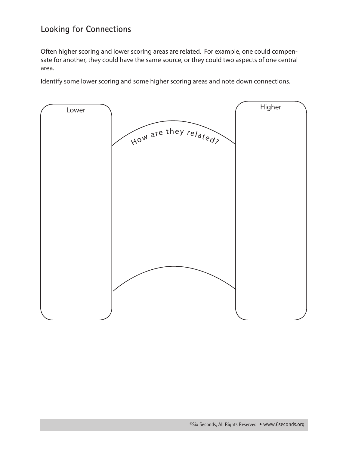## **Looking for Connections**

Often higher scoring and lower scoring areas are related. For example, one could compensate for another, they could have the same source, or they could two aspects of one central area.

Identify some lower scoring and some higher scoring areas and note down connections.

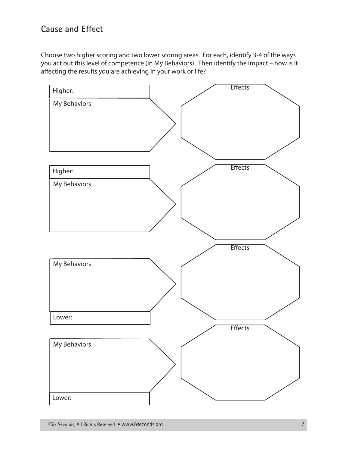## **Cause and Efect**

Choose two higher scoring and two lower scoring areas. For each, identify 3-4 of the ways you act out this level of competence (in My Behaviors). Then identify the impact – how is it afecting the results you are achieving in your work or life?

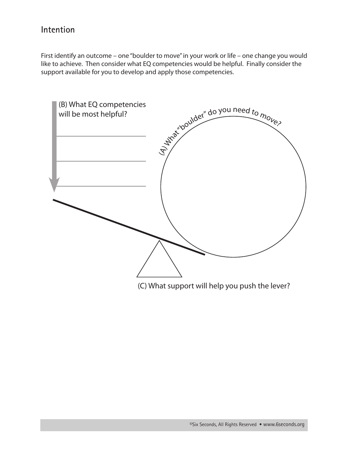#### Intention

First identify an outcome - one "boulder to move" in your work or life - one change you would like to achieve. Then consider what EQ competencies would be helpful. Finally consider the support available for you to develop and apply those competencies.



(C) What support will help you push the lever?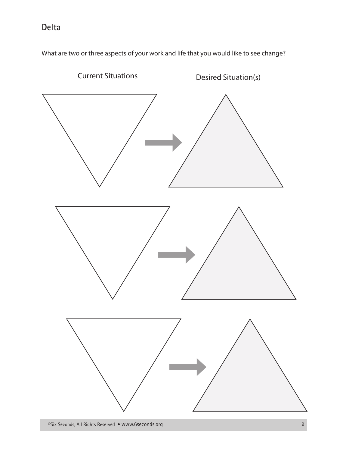# Delta

What are two or three aspects of your work and life that you would like to see change?

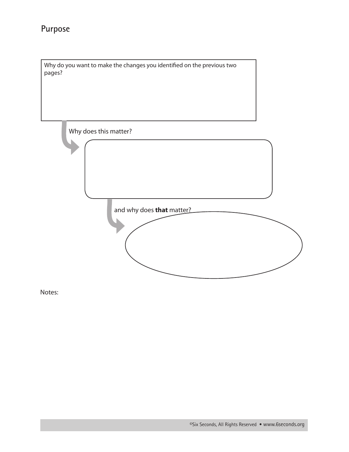# Purpose

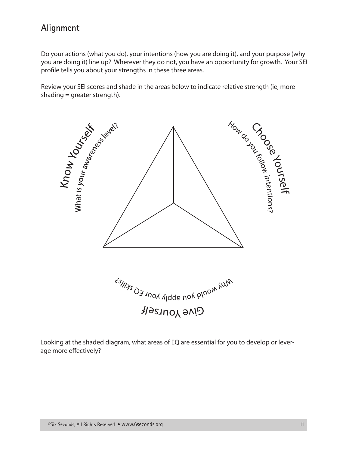## **Alignment**

Do your actions (what you do), your intentions (how you are doing it), and your purpose (why you are doing it) line up? Wherever they do not, you have an opportunity for growth. Your SEI profle tells you about your strengths in these three areas.

Review your SEI scores and shade in the areas below to indicate relative strength (ie, more shading  $=$  greater strength).



Looking at the shaded diagram, what areas of EQ are essential for you to develop or leverage more efectively?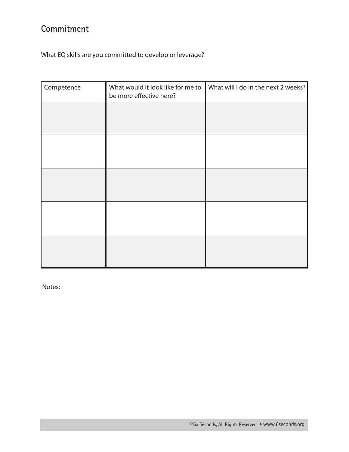# Commitment

What EQ skills are you committed to develop or leverage?

| Competence | What would it look like for me to<br>be more effective here? | What will I do in the next 2 weeks? |  |  |
|------------|--------------------------------------------------------------|-------------------------------------|--|--|
|            |                                                              |                                     |  |  |
|            |                                                              |                                     |  |  |
|            |                                                              |                                     |  |  |
|            |                                                              |                                     |  |  |
|            |                                                              |                                     |  |  |
|            |                                                              |                                     |  |  |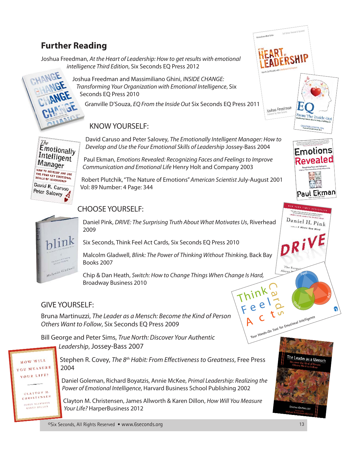# **Further Reading**

Joshua Freedman, At the Heart of Leadership: How to get results with emotional intelligence Third Edition, Six Seconds EQ Press 2012



Joshua Freedman and Massimiliano Ghini, INSIDE CHANGE: Transforming Your Organization with Emotional Intelligence, Six Seconds EQ Press 2010

Granville D'Souza, EQ From the Inside Out Six Seconds EQ Press 2011

## **KNOW YOURSELF:**



David Caruso and Peter Salovey, The Emotionally Intelligent Manager: How to Develop and Use the Four Emotional Skills of Leadership Jossey-Bass 2004

Paul Ekman, Emotions Revealed: Recognizing Faces and Feelings to Improve Communication and Emotional Life Henry Holt and Company 2003

Robert Plutchik, "The Nature of Emotions" American Scientist July-August 2001 Vol: 89 Number: 4 Page: 344

## **CHOOSE YOURSELF:**



Daniel Pink, DRIVE: The Surprising Truth About What Motivates Us, Riverhead 2009

Six Seconds, Think Feel Act Cards, Six Seconds EQ Press 2010

Malcolm Gladwell, Blink: The Power of Thinking Without Thinking, Back Bay **Books 2007** 

Chip & Dan Heath, Switch: How to Change Things When Change Is Hard, **Broadway Business 2010** 

#### **GIVE YOURSELF:**

Bruna Martinuzzi, The Leader as a Mensch: Become the Kind of Person Others Want to Follow, Six Seconds EQ Press 2009

Bill George and Peter Sims, True North: Discover Your Authentic Leadership, Jossey-Bass 2007



KAREN BILLON

Stephen R. Covey, The 8<sup>th</sup> Habit: From Effectiveness to Greatness, Free Press 2004

Daniel Goleman, Richard Boyatzis, Annie McKee, Primal Leadership: Realizing the Power of Emotional Intelligence, Harvard Business School Publishing 2002

Clayton M. Christensen, James Allworth & Karen Dillon, How Will You Measure Your Life? HarperBusiness 2012



Bruna Mart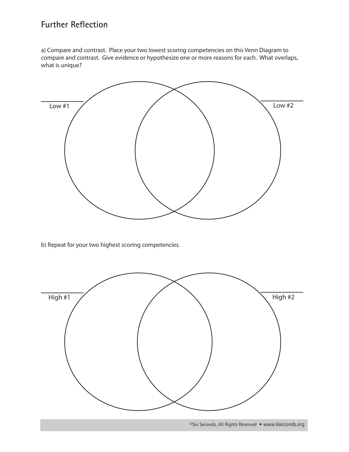## **Further Reflection**

a) Compare and contrast. Place your two lowest scoring competencies on this Venn Diagram to compare and contrast. Give evidence or hypothesize one or more reasons for each. What overlaps, what is unique?



b) Repeat for your two highest scoring competencies.

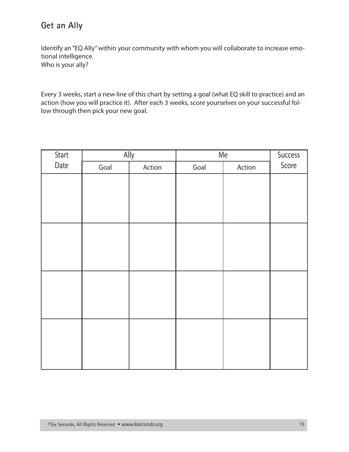## Get an Ally

Identify an "EQ Ally" within your community with whom you will collaborate to increase emotional intelligence. Who is your ally?

Every 3 weeks, start a new line of this chart by setting a goal (what EQ skill to practice) and an action (how you will practice it). After each 3 weeks, score yourselves on your successful follow through then pick your new goal.

| Start | Ally |        | Me   | Success |       |
|-------|------|--------|------|---------|-------|
| Date  | Goal | Action | Goal | Action  | Score |
|       |      |        |      |         |       |
|       |      |        |      |         |       |
|       |      |        |      |         |       |
|       |      |        |      |         |       |
|       |      |        |      |         |       |
|       |      |        |      |         |       |
|       |      |        |      |         |       |
|       |      |        |      |         |       |
|       |      |        |      |         |       |
|       |      |        |      |         |       |
|       |      |        |      |         |       |
|       |      |        |      |         |       |
|       |      |        |      |         |       |
|       |      |        |      |         |       |
|       |      |        |      |         |       |
|       |      |        |      |         |       |
|       |      |        |      |         |       |